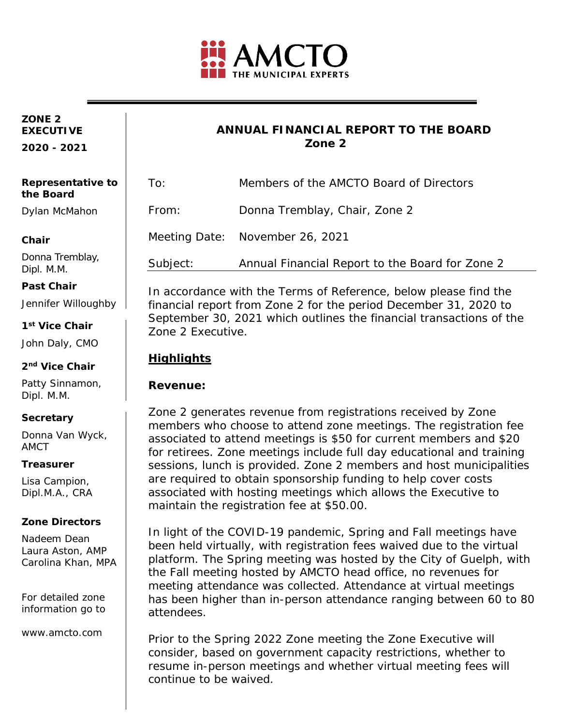

#### **ZONE 2 EXECUTIVE**

**2020 - 2021**

Dipl. M.M. **Past Chair**

**1st Vice Chair** John Daly, CMO

**2nd Vice Chair** Patty Sinnamon,

Dipl. M.M.

**Secretary**

**Treasurer**

Lisa Campion, Dipl.M.A., CRA

**Zone Directors** Nadeem Dean Laura Aston, AMP Carolina Khan, MPA

For detailed zone information go to

www.amcto.com

AMCT

Donna Van Wyck,

Jennifer Willoughby

### **ANNUAL FINANCIAL REPORT TO THE BOARD Zone 2**

| Representative to<br>the Board           | To:      | Members of the AMCTO Board of Directors<br>Donna Tremblay, Chair, Zone 2 |  |
|------------------------------------------|----------|--------------------------------------------------------------------------|--|
| Dylan McMahon                            | From:    |                                                                          |  |
| Chair                                    |          | Meeting Date: November 26, 2021                                          |  |
| Donna Tremblay,<br>D <sub>in</sub> 1 N N | Subject: | Annual Financial Report to the Board for Zone 2                          |  |

In accordance with the Terms of Reference, below please find the financial report from Zone 2 for the period December 31, 2020 to September 30, 2021 which outlines the financial transactions of the Zone 2 Executive.

## **Highlights**

### **Revenue:**

Zone 2 generates revenue from registrations received by Zone members who choose to attend zone meetings. The registration fee associated to attend meetings is \$50 for current members and \$20 for retirees. Zone meetings include full day educational and training sessions, lunch is provided. Zone 2 members and host municipalities are required to obtain sponsorship funding to help cover costs associated with hosting meetings which allows the Executive to maintain the registration fee at \$50.00.

In light of the COVID-19 pandemic, Spring and Fall meetings have been held virtually, with registration fees waived due to the virtual platform. The Spring meeting was hosted by the City of Guelph, with the Fall meeting hosted by AMCTO head office, no revenues for meeting attendance was collected. Attendance at virtual meetings has been higher than in-person attendance ranging between 60 to 80 attendees.

zosame in person meetings and Prior to the Spring 2022 Zone meeting the Zone Executive will consider, based on government capacity restrictions, whether to resume in-person meetings and whether virtual meeting fees will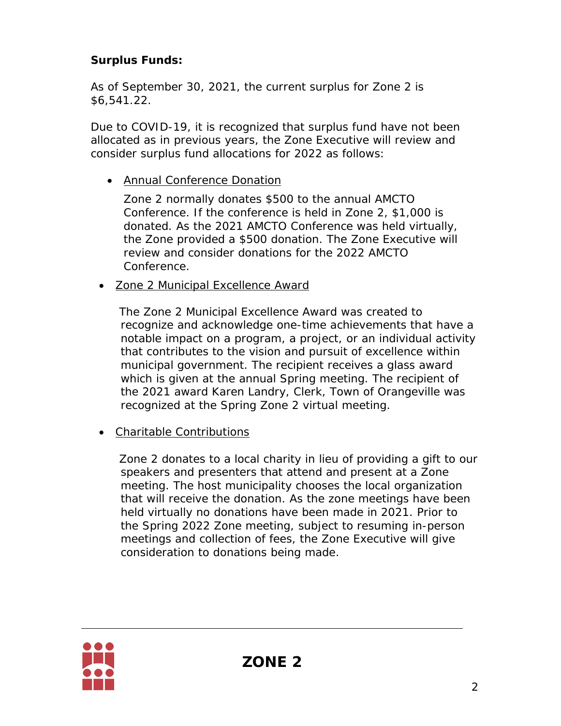# **Surplus Funds:**

As of September 30, 2021, the current surplus for Zone 2 is \$6,541.22.

Due to COVID-19, it is recognized that surplus fund have not been allocated as in previous years, the Zone Executive will review and consider surplus fund allocations for 2022 as follows:

• *Annual Conference Donation*

Zone 2 normally donates \$500 to the annual AMCTO Conference. If the conference is held in Zone 2, \$1,000 is donated. As the 2021 AMCTO Conference was held virtually, the Zone provided a \$500 donation. The Zone Executive will review and consider donations for the 2022 AMCTO Conference.

• *Zone 2 Municipal Excellence Award*

The Zone 2 Municipal Excellence Award was created to recognize and acknowledge one-time achievements that have a notable impact on a program, a project, or an individual activity that contributes to the vision and pursuit of excellence within municipal government. The recipient receives a glass award which is given at the annual Spring meeting. The recipient of the 2021 award Karen Landry, Clerk, Town of Orangeville was recognized at the Spring Zone 2 virtual meeting.

• *Charitable Contributions*

Zone 2 donates to a local charity in lieu of providing a gift to our speakers and presenters that attend and present at a Zone meeting. The host municipality chooses the local organization that will receive the donation. As the zone meetings have been held virtually no donations have been made in 2021. Prior to the Spring 2022 Zone meeting, subject to resuming in-person meetings and collection of fees, the Zone Executive will give consideration to donations being made.

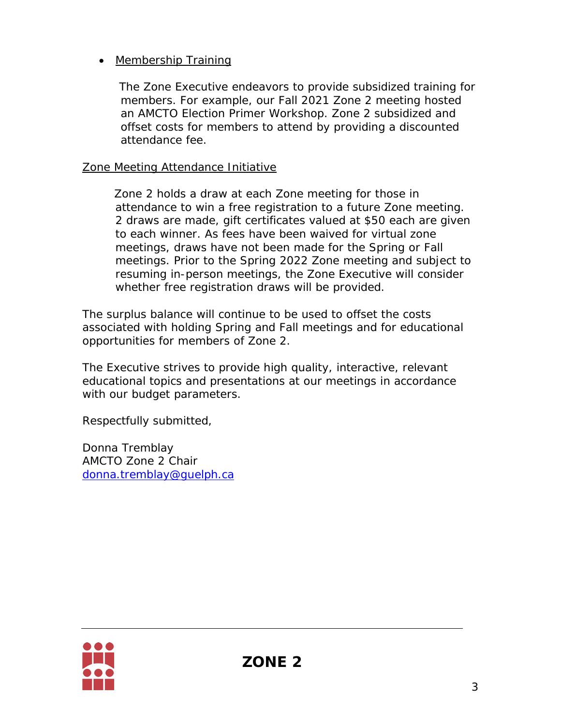## • *Membership Training*

The Zone Executive endeavors to provide subsidized training for members. For example, our Fall 2021 Zone 2 meeting hosted an AMCTO Election Primer Workshop. Zone 2 subsidized and offset costs for members to attend by providing a discounted attendance fee.

## *Zone Meeting Attendance Initiative*

Zone 2 holds a draw at each Zone meeting for those in attendance to win a free registration to a future Zone meeting. 2 draws are made, gift certificates valued at \$50 each are given to each winner. As fees have been waived for virtual zone meetings, draws have not been made for the Spring or Fall meetings. Prior to the Spring 2022 Zone meeting and subject to resuming in-person meetings, the Zone Executive will consider whether free registration draws will be provided.

The surplus balance will continue to be used to offset the costs associated with holding Spring and Fall meetings and for educational opportunities for members of Zone 2.

The Executive strives to provide high quality, interactive, relevant educational topics and presentations at our meetings in accordance with our budget parameters.

Respectfully submitted,

Donna Tremblay AMCTO Zone 2 Chair [donna.tremblay@guelph.ca](mailto:donna.tremblay@guelph.ca)